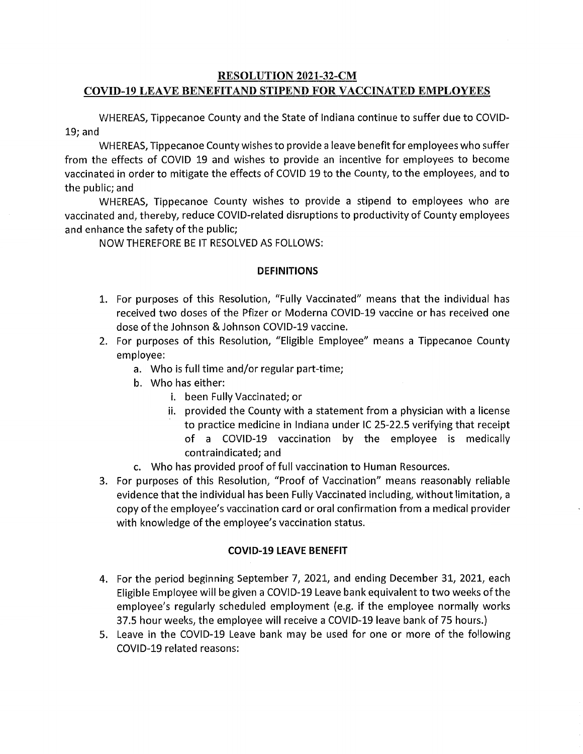# **RESOLUTION 2021-32-CM**  COVID-19 **LEAVE BENEFITAND STIPEND** FOR **VACCINATED EMPLOYEES**

WHEREAS, Tippecanoe County and the State of Indiana continue to suffer due to COVID-19; and

WHEREAS, Tippecanoe County wishes to provide a leave benefit for employees who suffer from the **effects** of COVID 19 and wishes to provide an incentive for employees to become vaccinated in order to mitigate the **effects** of COVID 19 to the County, to the employees, and to the public; and

WHEREAS, Tippecanoe County wishes to provide a stipend to employees who are vaccinated and, thereby, reduce COVID-related disruptions to productivity of County employees and enhance the safety of the public;

NOW THEREFORE BE IT RESOLVED AS FOLLOWS:

## DEFINITIONS

- 1. For purposes of this Resolution, "Fully Vaccinated" means that the individual has received two doses of the Pfizer or Moderna COVID-19 vaccine or has received one dose ofthe Johnson & Johnson COVID-19 vaccine.
- 2. For purposes of this Resolution, "Eligible Employee" means **a** Tippecanoe County employee:
	- a. Who is full time and/or regular part-time;
	- b. Who has either:
		- i. been Fully Vaccinated; or
		- ii. provided the County with **a** statement from a physician with a license *'* to practice medicine in Indiana under IC 25-22.5 verifying that receipt of a COVID-19 vaccination by the employee is medically contraindicated; and
	- c. Who has provided proof of **full** vaccination to Human Resources.
- 3. For purposes of this Resolution, "Proof of Vaccination" means reasonably reliable evidence that the individual has been Fully Vaccinated including, without limitation, a copy ofthe employee's vaccination card or oral confirmation from *a* medical provider with knowledge of the employee's vaccination status.

## **COVID-19** LEAVE BENEFIT

- 4. For the period beginning September 7, 2021, and ending December 31, 2021, each Eligible Employee will be given a COVID-19 Leave bank equivalent to two weeks **ofthe**  employee's regularly scheduled employment (e.g. if the employee normally works 37.5 hour weeks, the employee will receive a COVID-19 leave bank of 75 hours.)
- 5. Leave in the COVID-19 Leave bank may be used for one or more of the following COVID-19 related reasons: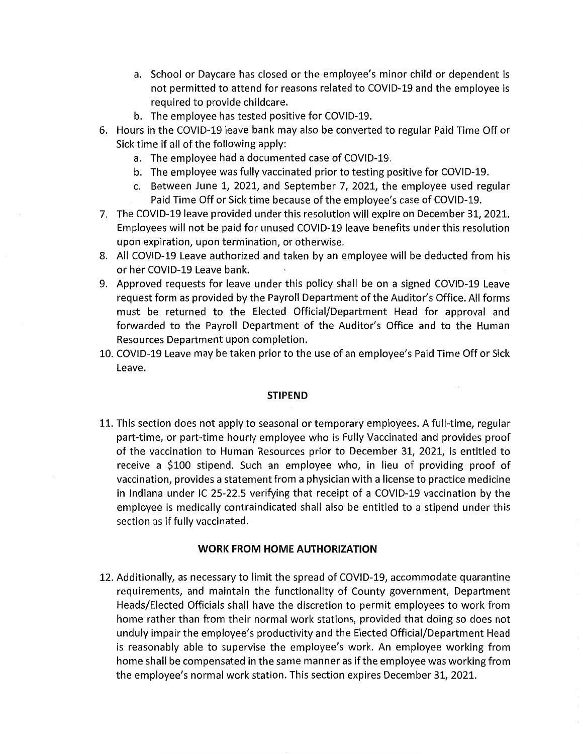- a. School or Daycare has closed or the employee's minor child or dependent is not permitted to attend for reasons related to COVlD-19 and the employee is required to provide childcare.
- b. The employee has tested positive for COVID-19.
- Hours in the COVID—19 leave bank may also be converted to regular **Paid** Time Off or Sick time if all of the following apply:
	- a. The employee had a documented case of COVID-19.
	- b. The employee was fully vaccinated prior to testing positive for COVlD-19.
	- c. Between June 1, 2021, and September 7, **2021,** the employee used **regular**  Paid Time Off or **Sick time** because of the employee's **case** of COVlD—19.
- The COVlD-19 leave provided under this resolution will expire on December 31, 2021. Employees will not be **paid** for unused COVlD-19 leave benefits under this resolution upon expiration, upon termination, or otherwise.
- All COVID-19 Leave authorized and taken by an employee will be **deducted** from his or her COVID-19 Leave bank. .
- Approved requests for leave under this policy shall be on a signed COVlD-19 Leave request form as provided by the Payroll **Department** of the Auditor's **Office.** All forms **must** be returned to the **Elected** Official/Department Head for **approval** and forwarded to the Payroll Department of the Auditor's **Office** and to the Human Resources Department upon completion.
- 10. COVlD-19 Leave may be **taken** prior to the use ofan employee's Paid Time Off or **Sick**  Leave.

#### **STIPEND**

11. This section does not apply to seasonal or temporary employees. A **full-time, regular**  part-time, or part-time hourly employee who is Fully Vaccinated and provides proof of the vaccination to Human Resources prior to December 31, 2021, is entitled to receive a \$100 stipend. **Such** an' employee who, in lieu of providing proof of vaccination, provides **a** statement from a physician with *a* license to practice medicine in Indiana under IC 25-22.5 verifying that receipt of a COVID-19 vaccination by the employee is medically contraindicated shall also be entitled to a stipend under this **section** as if fully vaccinated.

#### **WORK** FROM HOME **AUTHORIZATION**

12. Additionally, as necessary to limit the spread of COVID-19, accommodate **quarantine**  requirements, and maintain the functionality of County government, Department Heads/Elected Officials shall have the discretion to permit employees to work from home rather than from their normal work stations, provided that doing so does not unduly impair the employee's productivity and the Elected Official/Department Head is reasonably **able** to supervise the employee's work. An employee working from home shall be compensated in the same manner as if the employee was working from the employee's normal work station. This section expires December 31, 2021.